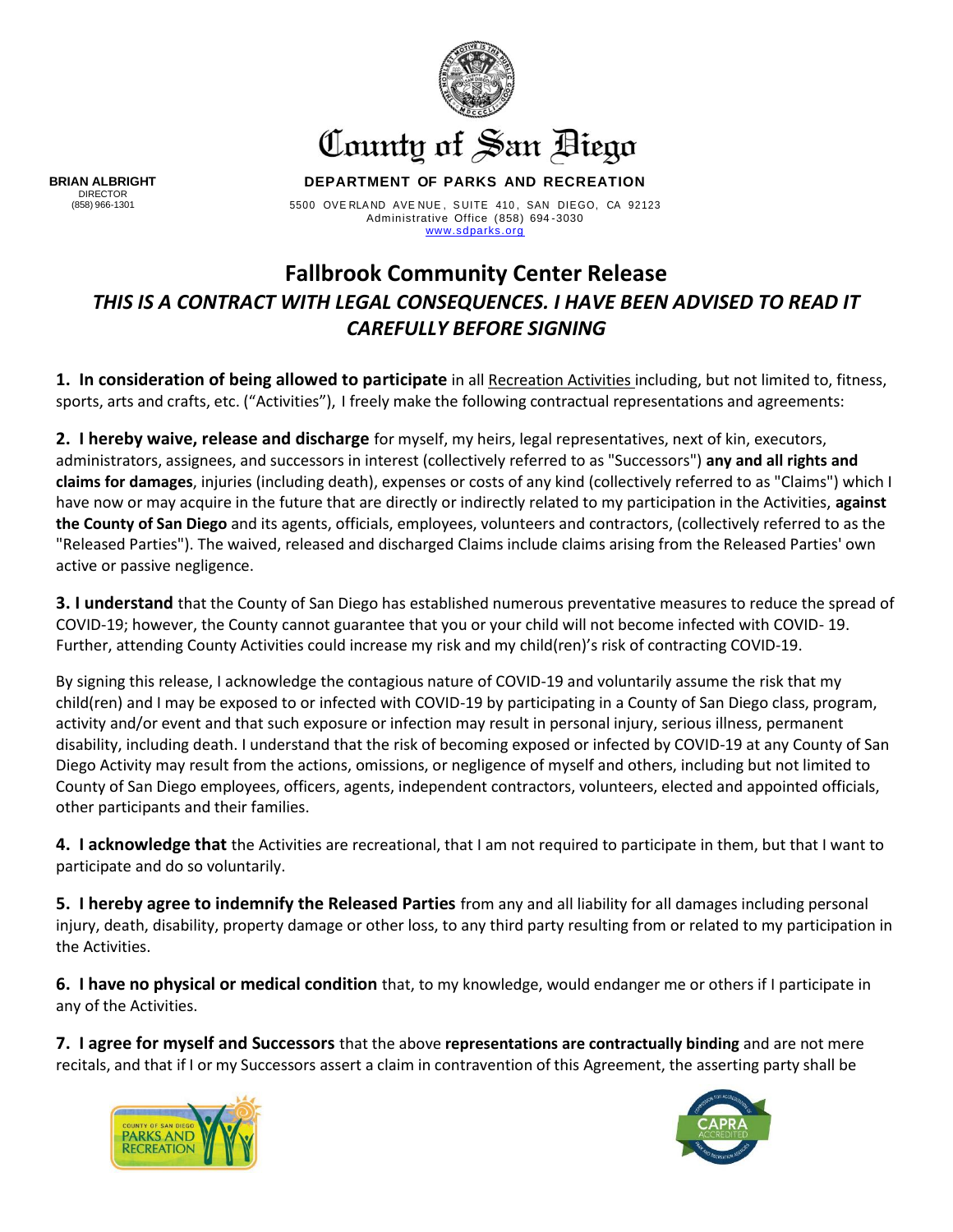

## County of San Biego

**DEPARTMENT OF PARKS AND RECREATION**

5500 OVE RLA ND AVE NUE , S UITE 410 , SAN DIEGO, CA 92123 Administrative Office (858) 694 -3030 [www.sdparks.org](http://www.sdparks.org/)

## **Fallbrook Community Center Release** *THIS IS A CONTRACT WITH LEGAL CONSEQUENCES. I HAVE BEEN ADVISED TO READ IT CAREFULLY BEFORE SIGNING*

**1. In consideration of being allowed to participate** in all Recreation Activities including, but not limited to, fitness, sports, arts and crafts, etc. ("Activities"), I freely make the following contractual representations and agreements:

**2. I hereby waive, release and discharge** for myself, my heirs, legal representatives, next of kin, executors, administrators, assignees, and successors in interest (collectively referred to as "Successors") **any and all rights and claims for damages**, injuries (including death), expenses or costs of any kind (collectively referred to as "Claims") which I have now or may acquire in the future that are directly or indirectly related to my participation in the Activities, **against the County of San Diego** and its agents, officials, employees, volunteers and contractors, (collectively referred to as the "Released Parties"). The waived, released and discharged Claims include claims arising from the Released Parties' own active or passive negligence.

**3. I understand** that the County of San Diego has established numerous preventative measures to reduce the spread of COVID-19; however, the County cannot guarantee that you or your child will not become infected with COVID- 19. Further, attending County Activities could increase my risk and my child(ren)'s risk of contracting COVID-19.

By signing this release, I acknowledge the contagious nature of COVID-19 and voluntarily assume the risk that my child(ren) and I may be exposed to or infected with COVID-19 by participating in a County of San Diego class, program, activity and/or event and that such exposure or infection may result in personal injury, serious illness, permanent disability, including death. I understand that the risk of becoming exposed or infected by COVID-19 at any County of San Diego Activity may result from the actions, omissions, or negligence of myself and others, including but not limited to County of San Diego employees, officers, agents, independent contractors, volunteers, elected and appointed officials, other participants and their families.

**4. I acknowledge that** the Activities are recreational, that I am not required to participate in them, but that I want to participate and do so voluntarily.

**5. I hereby agree to indemnify the Released Parties** from any and all liability for all damages including personal injury, death, disability, property damage or other loss, to any third party resulting from or related to my participation in the Activities.

**6. I have no physical or medical condition** that, to my knowledge, would endanger me or others if I participate in any of the Activities.

**7. I agree for myself and Successors** that the above **representations are contractually binding** and are not mere recitals, and that if I or my Successors assert a claim in contravention of this Agreement, the asserting party shall be





**BRIAN ALBRIGHT** DIRECTOR (858) 966-1301